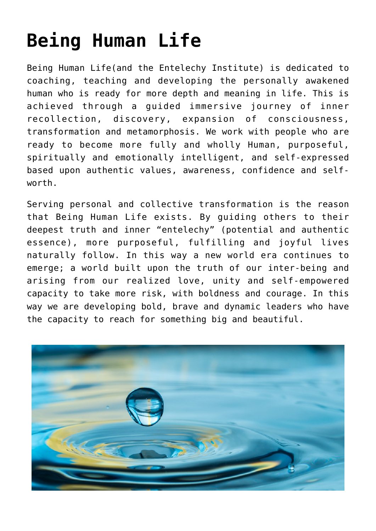## **[Being Human Life](https://beinghumanlife.com/being-human/)**

Being Human Life(and the Entelechy Institute) is dedicated to coaching, teaching and developing the personally awakened human who is ready for more depth and meaning in life. This is achieved through a guided immersive journey of inner recollection, discovery, expansion of consciousness, transformation and metamorphosis. We work with people who are ready to become more fully and wholly Human, purposeful, spiritually and emotionally intelligent, and self-expressed based upon authentic values, awareness, confidence and selfworth.

Serving personal and collective transformation is the reason that Being Human Life exists. By guiding others to their deepest truth and inner "entelechy" (potential and authentic essence), more purposeful, fulfilling and joyful lives naturally follow. In this way a new world era continues to emerge; a world built upon the truth of our inter-being and arising from our realized love, unity and self-empowered capacity to take more risk, with boldness and courage. In this way we are developing bold, brave and dynamic leaders who have the capacity to reach for something big and beautiful.

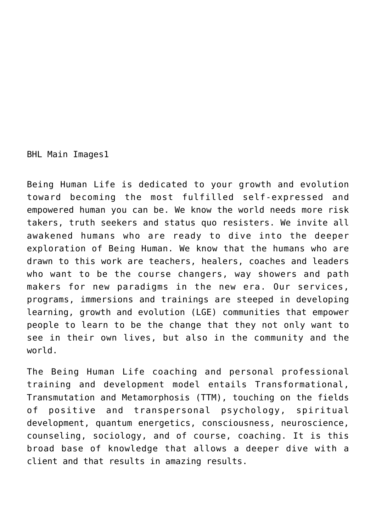BHL Main Images1

Being Human Life is dedicated to your growth and evolution toward becoming the most fulfilled self-expressed and empowered human you can be. We know the world needs more risk takers, truth seekers and status quo resisters. We invite all awakened humans who are ready to dive into the deeper exploration of Being Human. We know that the humans who are drawn to this work are teachers, healers, coaches and leaders who want to be the course changers, way showers and path makers for new paradigms in the new era. Our services, programs, immersions and trainings are steeped in developing learning, growth and evolution (LGE) communities that empower people to learn to be the change that they not only want to see in their own lives, but also in the community and the world.

The Being Human Life coaching and personal professional training and development model entails Transformational, Transmutation and Metamorphosis (TTM), touching on the fields of positive and transpersonal psychology, spiritual development, quantum energetics, consciousness, neuroscience, counseling, sociology, and of course, coaching. It is this broad base of knowledge that allows a deeper dive with a client and that results in amazing results.